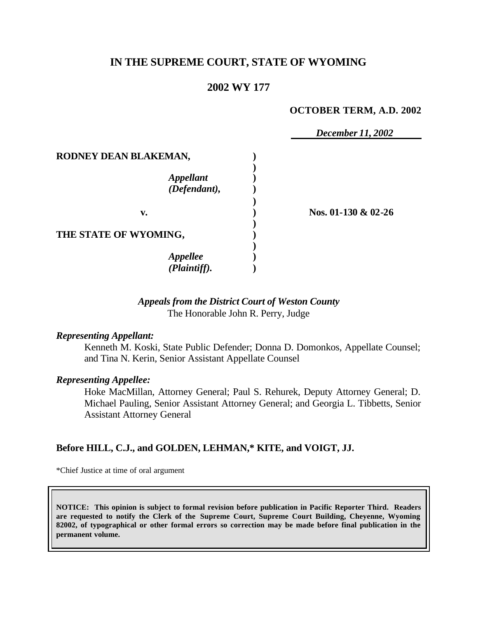# **IN THE SUPREME COURT, STATE OF WYOMING**

# **2002 WY 177**

#### **OCTOBER TERM, A.D. 2002**

|                       | December 11, 2002   |
|-----------------------|---------------------|
| RODNEY DEAN BLAKEMAN, |                     |
|                       |                     |
| <b>Appellant</b>      |                     |
| (Defendant),          |                     |
|                       |                     |
| v.                    | Nos. 01-130 & 02-26 |
|                       |                     |
| THE STATE OF WYOMING, |                     |
|                       |                     |
| <b>Appellee</b>       |                     |
| (Plaintiff).          |                     |

### *Appeals from the District Court of Weston County* The Honorable John R. Perry, Judge

#### *Representing Appellant:*

Kenneth M. Koski, State Public Defender; Donna D. Domonkos, Appellate Counsel; and Tina N. Kerin, Senior Assistant Appellate Counsel

#### *Representing Appellee:*

Hoke MacMillan, Attorney General; Paul S. Rehurek, Deputy Attorney General; D. Michael Pauling, Senior Assistant Attorney General; and Georgia L. Tibbetts, Senior Assistant Attorney General

### **Before HILL, C.J., and GOLDEN, LEHMAN,\* KITE, and VOIGT, JJ.**

\*Chief Justice at time of oral argument

**NOTICE: This opinion is subject to formal revision before publication in Pacific Reporter Third. Readers are requested to notify the Clerk of the Supreme Court, Supreme Court Building, Cheyenne, Wyoming 82002, of typographical or other formal errors so correction may be made before final publication in the permanent volume.**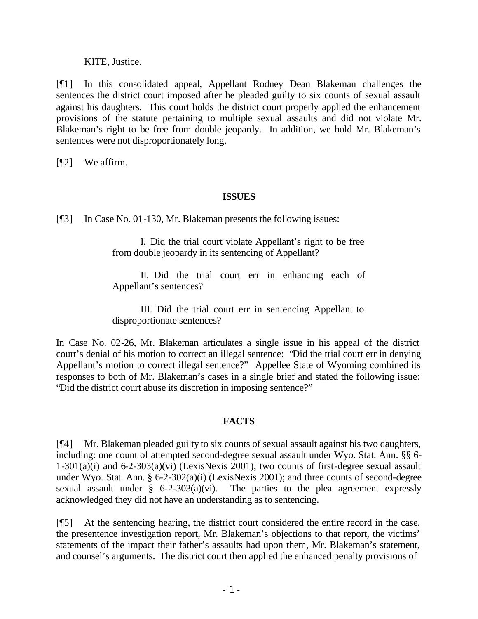### KITE, Justice.

[¶1] In this consolidated appeal, Appellant Rodney Dean Blakeman challenges the sentences the district court imposed after he pleaded guilty to six counts of sexual assault against his daughters. This court holds the district court properly applied the enhancement provisions of the statute pertaining to multiple sexual assaults and did not violate Mr. Blakeman's right to be free from double jeopardy. In addition, we hold Mr. Blakeman's sentences were not disproportionately long.

[¶2] We affirm.

## **ISSUES**

[¶3] In Case No. 01-130, Mr. Blakeman presents the following issues:

I. Did the trial court violate Appellant's right to be free from double jeopardy in its sentencing of Appellant?

II. Did the trial court err in enhancing each of Appellant's sentences?

III. Did the trial court err in sentencing Appellant to disproportionate sentences?

In Case No. 02-26, Mr. Blakeman articulates a single issue in his appeal of the district court's denial of his motion to correct an illegal sentence: "Did the trial court err in denying Appellant's motion to correct illegal sentence?" Appellee State of Wyoming combined its responses to both of Mr. Blakeman's cases in a single brief and stated the following issue: "Did the district court abuse its discretion in imposing sentence?"

## **FACTS**

[¶4] Mr. Blakeman pleaded guilty to six counts of sexual assault against his two daughters, including: one count of attempted second-degree sexual assault under Wyo. Stat. Ann. §§ 6- 1-301(a)(i) and  $6-2-303(a)(vi)$  (LexisNexis 2001); two counts of first-degree sexual assault under Wyo. Stat. Ann. § 6-2-302(a)(i) (LexisNexis 2001); and three counts of second-degree sexual assault under  $\S$  6-2-303(a)(vi). The parties to the plea agreement expressly acknowledged they did not have an understanding as to sentencing.

[¶5] At the sentencing hearing, the district court considered the entire record in the case, the presentence investigation report, Mr. Blakeman's objections to that report, the victims' statements of the impact their father's assaults had upon them, Mr. Blakeman's statement, and counsel's arguments. The district court then applied the enhanced penalty provisions of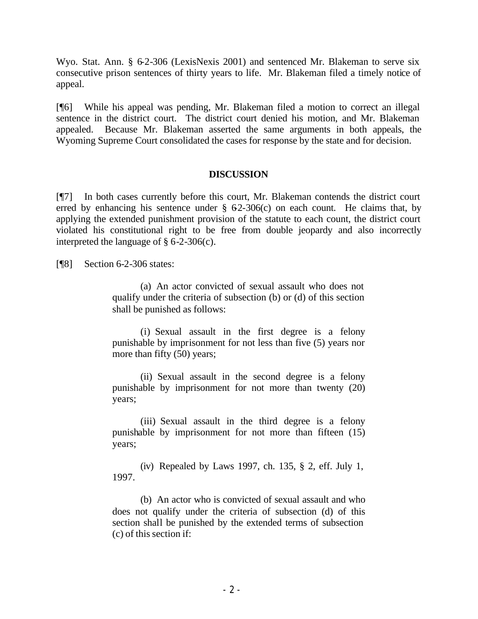Wyo. Stat. Ann. § 6-2-306 (LexisNexis 2001) and sentenced Mr. Blakeman to serve six consecutive prison sentences of thirty years to life. Mr. Blakeman filed a timely notice of appeal.

[¶6] While his appeal was pending, Mr. Blakeman filed a motion to correct an illegal sentence in the district court. The district court denied his motion, and Mr. Blakeman appealed. Because Mr. Blakeman asserted the same arguments in both appeals, the Wyoming Supreme Court consolidated the cases for response by the state and for decision.

#### **DISCUSSION**

[¶7] In both cases currently before this court, Mr. Blakeman contends the district court erred by enhancing his sentence under  $\S$  62-306(c) on each count. He claims that, by applying the extended punishment provision of the statute to each count, the district court violated his constitutional right to be free from double jeopardy and also incorrectly interpreted the language of  $\S$  6-2-306(c).

[¶8] Section 6-2-306 states:

(a) An actor convicted of sexual assault who does not qualify under the criteria of subsection (b) or (d) of this section shall be punished as follows:

(i) Sexual assault in the first degree is a felony punishable by imprisonment for not less than five (5) years nor more than fifty (50) years;

(ii) Sexual assault in the second degree is a felony punishable by imprisonment for not more than twenty (20) years;

(iii) Sexual assault in the third degree is a felony punishable by imprisonment for not more than fifteen (15) years;

(iv) Repealed by Laws 1997, ch. 135, § 2, eff. July 1, 1997.

(b) An actor who is convicted of sexual assault and who does not qualify under the criteria of subsection (d) of this section shall be punished by the extended terms of subsection (c) of this section if: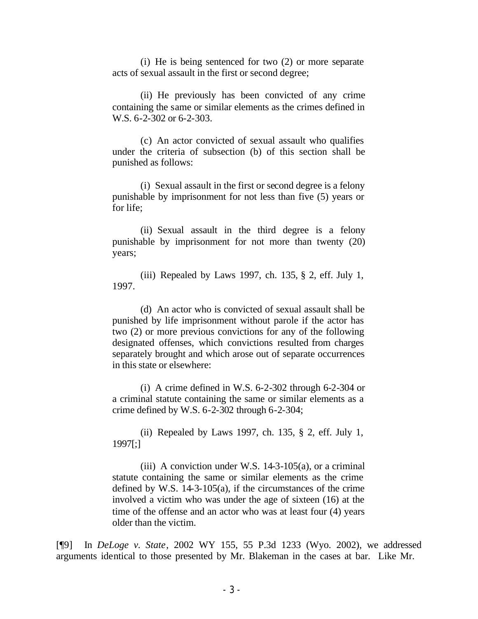(i) He is being sentenced for two (2) or more separate acts of sexual assault in the first or second degree;

(ii) He previously has been convicted of any crime containing the same or similar elements as the crimes defined in W.S. 6-2-302 or 6-2-303.

(c) An actor convicted of sexual assault who qualifies under the criteria of subsection (b) of this section shall be punished as follows:

(i) Sexual assault in the first or second degree is a felony punishable by imprisonment for not less than five (5) years or for life;

(ii) Sexual assault in the third degree is a felony punishable by imprisonment for not more than twenty (20) years;

(iii) Repealed by Laws 1997, ch. 135, § 2, eff. July 1, 1997.

(d) An actor who is convicted of sexual assault shall be punished by life imprisonment without parole if the actor has two (2) or more previous convictions for any of the following designated offenses, which convictions resulted from charges separately brought and which arose out of separate occurrences in this state or elsewhere:

(i) A crime defined in W.S. 6-2-302 through 6-2-304 or a criminal statute containing the same or similar elements as a crime defined by W.S. 6-2-302 through 6-2-304;

(ii) Repealed by Laws 1997, ch. 135, § 2, eff. July 1, 1997[;]

(iii) A conviction under W.S.  $14-3-105(a)$ , or a criminal statute containing the same or similar elements as the crime defined by W.S. 14-3-105(a), if the circumstances of the crime involved a victim who was under the age of sixteen (16) at the time of the offense and an actor who was at least four (4) years older than the victim.

[¶9] In *DeLoge v. State*, 2002 WY 155, 55 P.3d 1233 (Wyo. 2002), we addressed arguments identical to those presented by Mr. Blakeman in the cases at bar. Like Mr.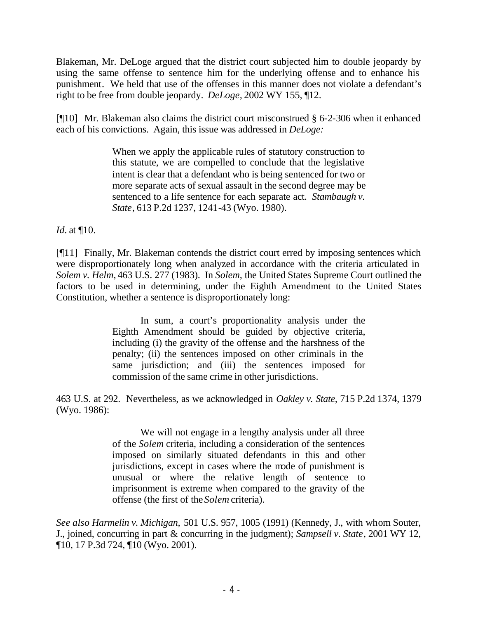Blakeman, Mr. DeLoge argued that the district court subjected him to double jeopardy by using the same offense to sentence him for the underlying offense and to enhance his punishment. We held that use of the offenses in this manner does not violate a defendant's right to be free from double jeopardy. *DeLoge,* 2002 WY 155, ¶12.

[¶10] Mr. Blakeman also claims the district court misconstrued § 6-2-306 when it enhanced each of his convictions. Again, this issue was addressed in *DeLoge:* 

> When we apply the applicable rules of statutory construction to this statute, we are compelled to conclude that the legislative intent is clear that a defendant who is being sentenced for two or more separate acts of sexual assault in the second degree may be sentenced to a life sentence for each separate act. *Stambaugh v. State*, 613 P.2d 1237, 1241-43 (Wyo. 1980).

*Id.* at ¶10.

[¶11] Finally, Mr. Blakeman contends the district court erred by imposing sentences which were disproportionately long when analyzed in accordance with the criteria articulated in *Solem v. Helm,* 463 U.S. 277 (1983). In *Solem,* the United States Supreme Court outlined the factors to be used in determining, under the Eighth Amendment to the United States Constitution, whether a sentence is disproportionately long:

> In sum, a court's proportionality analysis under the Eighth Amendment should be guided by objective criteria, including (i) the gravity of the offense and the harshness of the penalty; (ii) the sentences imposed on other criminals in the same jurisdiction; and (iii) the sentences imposed for commission of the same crime in other jurisdictions.

463 U.S. at 292. Nevertheless, as we acknowledged in *Oakley v. State,* 715 P.2d 1374, 1379 (Wyo. 1986):

> We will not engage in a lengthy analysis under all three of the *Solem* criteria, including a consideration of the sentences imposed on similarly situated defendants in this and other jurisdictions, except in cases where the mode of punishment is unusual or where the relative length of sentence to imprisonment is extreme when compared to the gravity of the offense (the first of the *Solem* criteria).

*See also Harmelin v. Michigan,* 501 U.S. 957, 1005 (1991) (Kennedy, J., with whom Souter, J., joined, concurring in part & concurring in the judgment); *Sampsell v. State*, 2001 WY 12, ¶10, 17 P.3d 724, ¶10 (Wyo. 2001).